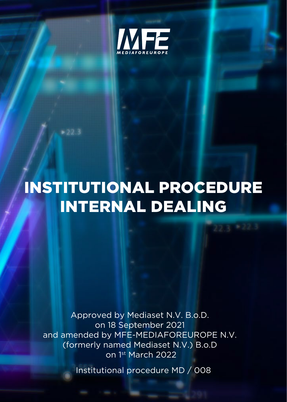

# INSTITUTIONAL PROCEDURE INTERNAL DEALING

Approved by Mediaset N.V. B.o.D. on 18 September 2021 and amended by MFE-MEDIAFOREUROPE N.V. (formerly named Mediaset N.V.) B.o.D on 1st March 2022

Institutional procedure MD / 008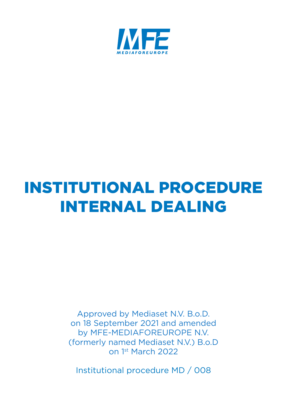

# INSTITUTIONAL PROCEDURE INTERNAL DEALING

(formerly named Mediaset N.V.) B.o.D on 1st March 2022 on 1st March 2022Approved by Mediaset N.V. B.o.D. on 18 September 2021 and amended by MFE-MEDIAFOREUROPE N.V.

Institutional procedure MD / 008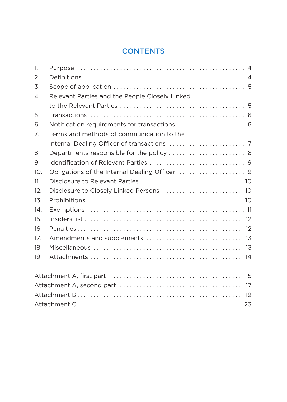# **CONTENTS**

| 1.                    |                                                |  |
|-----------------------|------------------------------------------------|--|
| 2.                    |                                                |  |
| 3.                    |                                                |  |
| $\mathcal{A}_{\cdot}$ | Relevant Parties and the People Closely Linked |  |
|                       |                                                |  |
| 5.                    |                                                |  |
| 6.                    | Notification requirements for transactions  6  |  |
| 7 <sub>1</sub>        | Terms and methods of communication to the      |  |
|                       |                                                |  |
| 8.                    |                                                |  |
| 9.                    |                                                |  |
| 10.                   |                                                |  |
| 11.                   |                                                |  |
| 12.                   | Disclosure to Closely Linked Persons  10       |  |
| 13.                   |                                                |  |
| 14.                   |                                                |  |
| 15.                   |                                                |  |
| 16.                   |                                                |  |
| 17.                   |                                                |  |
| 18.                   |                                                |  |
| 19.                   |                                                |  |
|                       |                                                |  |
|                       |                                                |  |
|                       |                                                |  |
|                       |                                                |  |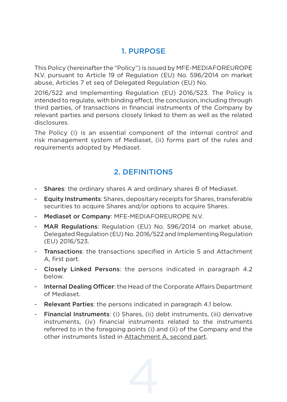#### 1. PURPOSE

This Policy (hereinafter the "Policy") is issued by MFE-MEDIAFOREUROPE N.V. pursuant to Article 19 of Regulation (EU) No. 596/2014 on market abuse, Articles 7 et seq of Delegated Regulation (EU) No.

2016/522 and Implementing Regulation (EU) 2016/523. The Policy is intended to regulate, with binding effect, the conclusion, including through third parties, of transactions in financial instruments of the Company by relevant parties and persons closely linked to them as well as the related disclosures.

The Policy (i) is an essential component of the internal control and risk management system of Mediaset, (ii) forms part of the rules and requirements adopted by Mediaset.

#### 2. DEFINITIONS

- Shares: the ordinary shares A and ordinary shares B of Mediaset.
- Equity Instruments: Shares, depositary receipts for Shares, transferable securities to acquire Shares and/or options to acquire Shares.
- Mediaset or Company: MFE-MEDIAFOREUROPE N.V.
- MAR Regulations: Regulation (EU) No. 596/2014 on market abuse, Delegated Regulation (EU) No. 2016/522 and Implementing Regulation (EU) 2016/523.
- Transactions: the transactions specified in Article 5 and Attachment A, first part.
- Closely Linked Persons: the persons indicated in paragraph 4.2 below.
- Internal Dealing Officer: the Head of the Corporate Affairs Department of Mediaset.
- Relevant Parties: the persons indicated in paragraph 4.1 below.
- Financial Instruments: (i) Shares, (ii) debt instruments, (iii) derivative instruments, (iv) financial instruments related to the instruments referred to in the foregoing points (i) and (ii) of the Company and the other instruments listed in Attachment A, second part.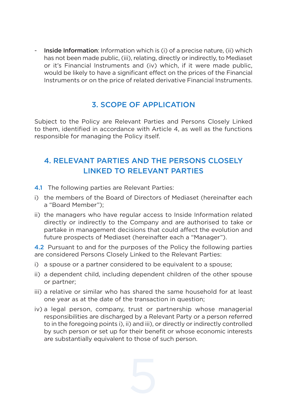- Inside Information: Information which is (i) of a precise nature, (ii) which has not been made public, (iii), relating, directly or indirectly, to Mediaset or it's Financial Instruments and (iv) which, if it were made public, would be likely to have a significant effect on the prices of the Financial Instruments or on the price of related derivative Financial Instruments.

#### 3. SCOPE OF APPLICATION

Subject to the Policy are Relevant Parties and Persons Closely Linked to them, identified in accordance with Article 4, as well as the functions responsible for managing the Policy itself.

# 4. RELEVANT PARTIES AND THE PERSONS CLOSELY LINKED TO RELEVANT PARTIES

- 4.1 The following parties are Relevant Parties:
- i) the members of the Board of Directors of Mediaset (hereinafter each a "Board Member");
- ii) the managers who have regular access to Inside Information related directly or indirectly to the Company and are authorised to take or partake in management decisions that could affect the evolution and future prospects of Mediaset (hereinafter each a "Manager").

4.2 Pursuant to and for the purposes of the Policy the following parties are considered Persons Closely Linked to the Relevant Parties:

- i) a spouse or a partner considered to be equivalent to a spouse;
- ii) a dependent child, including dependent children of the other spouse or partner;
- iii) a relative or similar who has shared the same household for at least one year as at the date of the transaction in question;
- iv) a legal person, company, trust or partnership whose managerial responsibilities are discharged by a Relevant Party or a person referred to in the foregoing points i), ii) and iii), or directly or indirectly controlled by such person or set up for their benefit or whose economic interests are substantially equivalent to those of such person.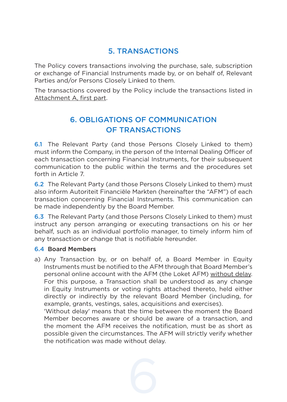#### 5. TRANSACTIONS

The Policy covers transactions involving the purchase, sale, subscription or exchange of Financial Instruments made by, or on behalf of, Relevant Parties and/or Persons Closely Linked to them.

The transactions covered by the Policy include the transactions listed in Attachment A, first part.

# 6. OBLIGATIONS OF COMMUNICATION OF TRANSACTIONS

6.1 The Relevant Party (and those Persons Closely Linked to them) must inform the Company, in the person of the Internal Dealing Officer of each transaction concerning Financial Instruments, for their subsequent communication to the public within the terms and the procedures set forth in Article 7.

6.2 The Relevant Party (and those Persons Closely Linked to them) must also inform Autoriteit Financiële Markten (hereinafter the "AFM") of each transaction concerning Financial Instruments. This communication can be made independently by the Board Member.

6.3 The Relevant Party (and those Persons Closely Linked to them) must instruct any person arranging or executing transactions on his or her behalf, such as an individual portfolio manager, to timely inform him of any transaction or change that is notifiable hereunder.

#### 6.4 Board Members

a) Any Transaction by, or on behalf of, a Board Member in Equity Instruments must be notified to the AFM through that Board Member's personal online account with the AFM (the Loket AFM) without delay. For this purpose, a Transaction shall be understood as any change in Equity Instruments or voting rights attached thereto, held either directly or indirectly by the relevant Board Member (including, for example, grants, vestings, sales, acquisitions and exercises).

'Without delay' means that the time between the moment the Board Member becomes aware or should be aware of a transaction, and the moment the AFM receives the notification, must be as short as possible given the circumstances. The AFM will strictly verify whether the notification was made without delay.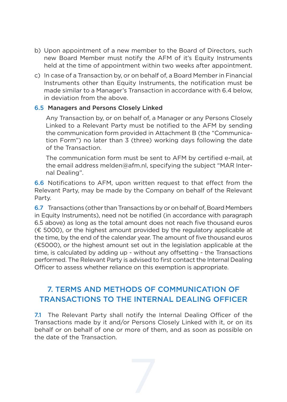- b) Upon appointment of a new member to the Board of Directors, such new Board Member must notify the AFM of it's Equity Instruments held at the time of appointment within two weeks after appointment.
- c) In case of a Transaction by, or on behalf of, a Board Member in Financial Instruments other than Equity Instruments, the notification must be made similar to a Manager's Transaction in accordance with 6.4 below, in deviation from the above.

#### 6.5 Managers and Persons Closely Linked

Any Transaction by, or on behalf of, a Manager or any Persons Closely Linked to a Relevant Party must be notified to the AFM by sending the communication form provided in Attachment B (the "Communication Form") no later than 3 (three) working days following the date of the Transaction.

The communication form must be sent to AFM by certified e-mail, at the email address melden@afm.nl, specifying the subject "MAR Internal Dealing".

6.6 Notifications to AFM, upon written request to that effect from the Relevant Party, may be made by the Company on behalf of the Relevant Party.

6.7 Transactions (other than Transactions by or on behalf of, Board Members in Equity Instruments), need not be notified (in accordance with paragraph 6.5 above) as long as the total amount does not reach five thousand euros (€ 5000), or the highest amount provided by the regulatory applicable at the time, by the end of the calendar year. The amount of five thousand euros (€5000), or the highest amount set out in the legislation applicable at the time, is calculated by adding up - without any offsetting - the Transactions performed. The Relevant Party is advised to first contact the Internal Dealing Officer to assess whether reliance on this exemption is appropriate.

## 7. TERMS AND METHODS OF COMMUNICATION OF TRANSACTIONS TO THE INTERNAL DEALING OFFICER

7.1 The Relevant Party shall notify the Internal Dealing Officer of the Transactions made by it and/or Persons Closely Linked with it, or on its behalf or on behalf of one or more of them, and as soon as possible on the date of the Transaction.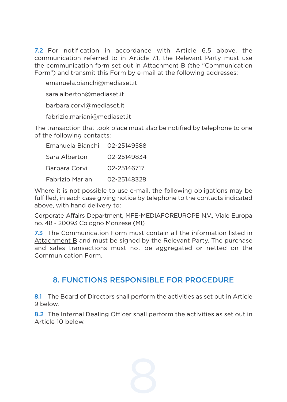7.2 For notification in accordance with Article 6.5 above, the communication referred to in Article 7.1, the Relevant Party must use the communication form set out in Attachment B (the "Communication Form") and transmit this Form by e-mail at the following addresses:

emanuela.bianchi@mediaset.it

sara alberton@mediaset.it

barbara.corvi@mediaset.it

fabrizio.mariani@mediaset.it

The transaction that took place must also be notified by telephone to one of the following contacts:

| Emanuela Bianchi | 02-25149588 |
|------------------|-------------|
| Sara Alberton    | 02-25149834 |
| Barbara Corvi    | 02-25146717 |
| Fabrizio Mariani | 02-25148328 |

Where it is not possible to use e-mail, the following obligations may be fulfilled, in each case giving notice by telephone to the contacts indicated above, with hand delivery to:

Corporate Affairs Department, MFE-MEDIAFOREUROPE N.V., Viale Europa no. 48 - 20093 Cologno Monzese (MI)

7.3 The Communication Form must contain all the information listed in Attachment B and must be signed by the Relevant Party. The purchase and sales transactions must not be aggregated or netted on the Communication Form.

#### 8. FUNCTIONS RESPONSIBLE FOR PROCEDURE

8.1 The Board of Directors shall perform the activities as set out in Article 9 below.

8.2 The Internal Dealing Officer shall perform the activities as set out in Article 10 below.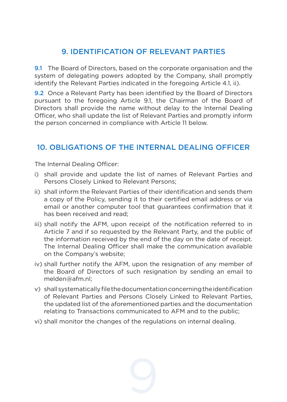## 9. IDENTIFICATION OF RELEVANT PARTIES

9.1 The Board of Directors, based on the corporate organisation and the system of delegating powers adopted by the Company, shall promptly identify the Relevant Parties indicated in the foregoing Article 4.1, ii).

9.2 Once a Relevant Party has been identified by the Board of Directors pursuant to the foregoing Article 9.1, the Chairman of the Board of Directors shall provide the name without delay to the Internal Dealing Officer, who shall update the list of Relevant Parties and promptly inform the person concerned in compliance with Article 11 below.

## 10. OBLIGATIONS OF THE INTERNAL DEALING OFFICER

The Internal Dealing Officer:

- i) shall provide and update the list of names of Relevant Parties and Persons Closely Linked to Relevant Persons;
- ii) shall inform the Relevant Parties of their identification and sends them a copy of the Policy, sending it to their certified email address or via email or another computer tool that guarantees confirmation that it has been received and read;
- iii) shall notify the AFM, upon receipt of the notification referred to in Article 7 and if so requested by the Relevant Party, and the public of the information received by the end of the day on the date of receipt. The Internal Dealing Officer shall make the communication available on the Company's website;
- iv) shall further notify the AFM, upon the resignation of any member of the Board of Directors of such resignation by sending an email to melden@afm.nl;
- v) shall systematically file the documentation concerning the identification of Relevant Parties and Persons Closely Linked to Relevant Parties, the updated list of the aforementioned parties and the documentation relating to Transactions communicated to AFM and to the public;
- vi) shall monitor the changes of the regulations on internal dealing.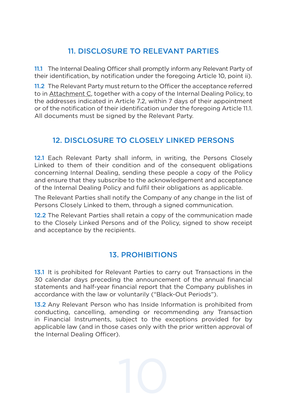# 11. DISCLOSURE TO RELEVANT PARTIES

11.1 The Internal Dealing Officer shall promptly inform any Relevant Party of their identification, by notification under the foregoing Article 10, point ii).

11.2 The Relevant Party must return to the Officer the acceptance referred to in Attachment C, together with a copy of the Internal Dealing Policy, to the addresses indicated in Article 7.2, within 7 days of their appointment or of the notification of their identification under the foregoing Article 11.1. All documents must be signed by the Relevant Party.

## 12. DISCLOSURE TO CLOSELY LINKED PERSONS

12.1 Each Relevant Party shall inform, in writing, the Persons Closely Linked to them of their condition and of the consequent obligations concerning Internal Dealing, sending these people a copy of the Policy and ensure that they subscribe to the acknowledgement and acceptance of the Internal Dealing Policy and fulfil their obligations as applicable.

The Relevant Parties shall notify the Company of any change in the list of Persons Closely Linked to them, through a signed communication.

12.2 The Relevant Parties shall retain a copy of the communication made to the Closely Linked Persons and of the Policy, signed to show receipt and acceptance by the recipients.

# 13. PROHIBITIONS

13.1 It is prohibited for Relevant Parties to carry out Transactions in the 30 calendar days preceding the announcement of the annual financial statements and half-year financial report that the Company publishes in accordance with the law or voluntarily ("Black-Out Periods").

13.2 Any Relevant Person who has Inside Information is prohibited from conducting, cancelling, amending or recommending any Transaction in Financial Instruments, subject to the exceptions provided for by applicable law (and in those cases only with the prior written approval of the Internal Dealing Officer).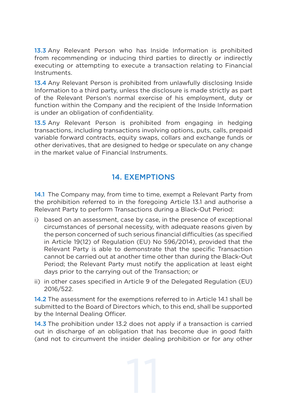13.3 Any Relevant Person who has Inside Information is prohibited from recommending or inducing third parties to directly or indirectly executing or attempting to execute a transaction relating to Financial Instruments.

13.4 Any Relevant Person is prohibited from unlawfully disclosing Inside Information to a third party, unless the disclosure is made strictly as part of the Relevant Person's normal exercise of his employment, duty or function within the Company and the recipient of the Inside Information is under an obligation of confidentiality.

13.5 Any Relevant Person is prohibited from engaging in hedging transactions, including transactions involving options, puts, calls, prepaid variable forward contracts, equity swaps, collars and exchange funds or other derivatives, that are designed to hedge or speculate on any change in the market value of Financial Instruments.

#### 14. EXEMPTIONS

14.1 The Company may, from time to time, exempt a Relevant Party from the prohibition referred to in the foregoing Article 13.1 and authorise a Relevant Party to perform Transactions during a Black-Out Period:

- i) based on an assessment, case by case, in the presence of exceptional circumstances of personal necessity, with adequate reasons given by the person concerned of such serious financial difficulties (as specified in Article 19(12) of Regulation (EU) No 596/2014), provided that the Relevant Party is able to demonstrate that the specific Transaction cannot be carried out at another time other than during the Black-Out Period: the Relevant Party must notify the application at least eight days prior to the carrying out of the Transaction; or
- ii) in other cases specified in Article 9 of the Delegated Regulation (EU) 2016/522.

14.2 The assessment for the exemptions referred to in Article 14.1 shall be submitted to the Board of Directors which, to this end, shall be supported by the Internal Dealing Officer.

14.3 The prohibition under 13.2 does not apply if a transaction is carried out in discharge of an obligation that has become due in good faith (and not to circumvent the insider dealing prohibition or for any other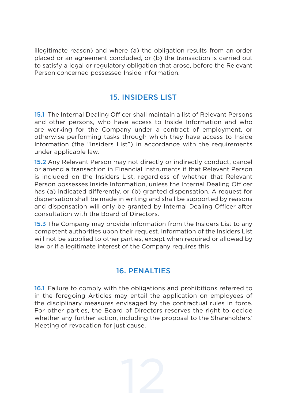illegitimate reason) and where (a) the obligation results from an order placed or an agreement concluded, or (b) the transaction is carried out to satisfy a legal or regulatory obligation that arose, before the Relevant Person concerned possessed Inside Information.

#### 15. INSIDERS LIST

15.1 The Internal Dealing Officer shall maintain a list of Relevant Persons and other persons, who have access to Inside Information and who are working for the Company under a contract of employment, or otherwise performing tasks through which they have access to Inside Information (the "Insiders List") in accordance with the requirements under applicable law.

15.2 Any Relevant Person may not directly or indirectly conduct, cancel or amend a transaction in Financial Instruments if that Relevant Person is included on the Insiders List, regardless of whether that Relevant Person possesses Inside Information, unless the Internal Dealing Officer has (a) indicated differently, or (b) granted dispensation. A request for dispensation shall be made in writing and shall be supported by reasons and dispensation will only be granted by Internal Dealing Officer after consultation with the Board of Directors.

15.3 The Company may provide information from the Insiders List to any competent authorities upon their request. Information of the Insiders List will not be supplied to other parties, except when required or allowed by law or if a legitimate interest of the Company requires this.

# 16. PENALTIES

16.1 Failure to comply with the obligations and prohibitions referred to in the foregoing Articles may entail the application on employees of the disciplinary measures envisaged by the contractual rules in force. For other parties, the Board of Directors reserves the right to decide whether any further action, including the proposal to the Shareholders' Meeting of revocation for just cause.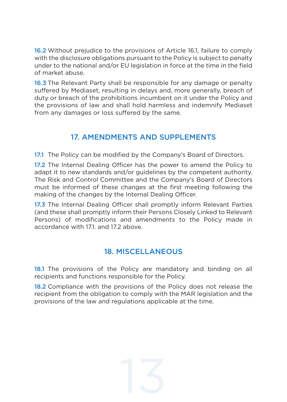16.2 Without prejudice to the provisions of Article 16.1, failure to comply with the disclosure obligations pursuant to the Policy is subject to penalty under to the national and/or EU legislation in force at the time in the field of market abuse.

16.3 The Relevant Party shall be responsible for any damage or penalty suffered by Mediaset, resulting in delays and, more generally, breach of duty or breach of the prohibitions incumbent on it under the Policy and the provisions of law and shall hold harmless and indemnify Mediaset from any damages or loss suffered by the same.

#### 17. AMENDMENTS AND SUPPLEMENTS

17.1 The Policy can be modified by the Company's Board of Directors.

17.2 The Internal Dealing Officer has the power to amend the Policy to adapt it to new standards and/or guidelines by the competent authority. The Risk and Control Committee and the Company's Board of Directors must be informed of these changes at the first meeting following the making of the changes by the Internal Dealing Officer.

17.3 The Internal Dealing Officer shall promptly inform Relevant Parties (and these shall promptly inform their Persons Closely Linked to Relevant Persons) of modifications and amendments to the Policy made in accordance with 171, and 17.2 above

#### 18. MISCELLANEOUS

18.1 The provisions of the Policy are mandatory and binding on all recipients and functions responsible for the Policy.

18.2 Compliance with the provisions of the Policy does not release the recipient from the obligation to comply with the MAR legislation and the provisions of the law and regulations applicable at the time.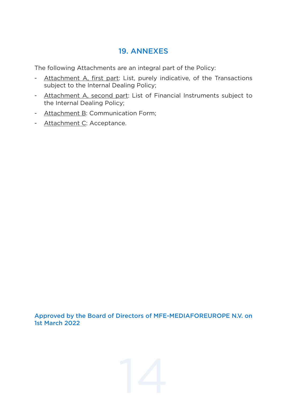#### 19. ANNEXES

The following Attachments are an integral part of the Policy:

- Attachment A, first part: List, purely indicative, of the Transactions subject to the Internal Dealing Policy;
- Attachment A, second part: List of Financial Instruments subject to the Internal Dealing Policy;
- Attachment B: Communication Form;
- Attachment C: Acceptance.

Approved by the Board of Directors of MFE-MEDIAFOREUROPE N.V. on 1st March 2022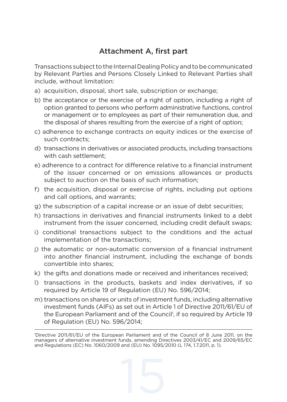## Attachment A, first part

Transactions subject to the Internal Dealing Policy and to be communicated by Relevant Parties and Persons Closely Linked to Relevant Parties shall include, without limitation:

- a) acquisition, disposal, short sale, subscription or exchange;
- b) the acceptance or the exercise of a right of option, including a right of option granted to persons who perform administrative functions, control or management or to employees as part of their remuneration due, and the disposal of shares resulting from the exercise of a right of option;
- c) adherence to exchange contracts on equity indices or the exercise of such contracts;
- d) transactions in derivatives or associated products, including transactions with cash settlement;
- e) adherence to a contract for difference relative to a financial instrument of the issuer concerned or on emissions allowances or products subject to auction on the basis of such information;
- f) the acquisition, disposal or exercise of rights, including put options and call options, and warrants;
- g) the subscription of a capital increase or an issue of debt securities;
- h) transactions in derivatives and financial instruments linked to a debt instrument from the issuer concerned, including credit default swaps;
- i) conditional transactions subject to the conditions and the actual implementation of the transactions;
- j) the automatic or non-automatic conversion of a financial instrument into another financial instrument, including the exchange of bonds convertible into shares;
- k) the gifts and donations made or received and inheritances received;
- l) transactions in the products, baskets and index derivatives, if so required by Article 19 of Regulation (EU) No. 596/2014;
- m) transactions on shares or units of investment funds, including alternative investment funds (AIFs) as set out in Article 1 of Directive 2011/61/EU of the European Parliament and of the Council<sup>1</sup>, if so required by Article 19 of Regulation (EU) No. 596/2014;

<sup>1</sup> Directive 2011/61/EU of the European Parliament and of the Council of 8 June 2011, on the managers of alternative investment funds, amending Directives 2003/41/EC and 2009/65/EC and Regulations (EC) No. 1060/2009 and (EU) No. 1095/2010 (L 174, 1.7.2011, p. 1).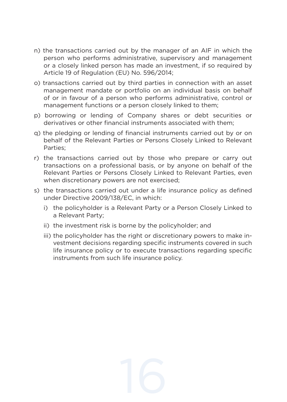- n) the transactions carried out by the manager of an AIF in which the person who performs administrative, supervisory and management or a closely linked person has made an investment, if so required by Article 19 of Regulation (EU) No. 596/2014;
- o) transactions carried out by third parties in connection with an asset management mandate or portfolio on an individual basis on behalf of or in favour of a person who performs administrative, control or management functions or a person closely linked to them;
- p) borrowing or lending of Company shares or debt securities or derivatives or other financial instruments associated with them;
- q) the pledging or lending of financial instruments carried out by or on behalf of the Relevant Parties or Persons Closely Linked to Relevant Parties;
- r) the transactions carried out by those who prepare or carry out transactions on a professional basis, or by anyone on behalf of the Relevant Parties or Persons Closely Linked to Relevant Parties, even when discretionary powers are not exercised;
- s) the transactions carried out under a life insurance policy as defined under Directive 2009/138/EC, in which:
	- i) the policyholder is a Relevant Party or a Person Closely Linked to a Relevant Party;
	- ii) the investment risk is borne by the policyholder; and
	- iii) the policyholder has the right or discretionary powers to make investment decisions regarding specific instruments covered in such life insurance policy or to execute transactions regarding specific instruments from such life insurance policy.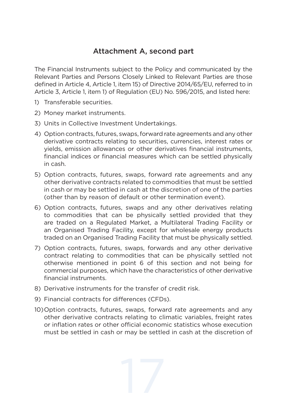#### Attachment A, second part

The Financial Instruments subject to the Policy and communicated by the Relevant Parties and Persons Closely Linked to Relevant Parties are those defined in Article 4, Article 1, item 15) of Directive 2014/65/EU, referred to in Article 3, Article 1, item 1) of Regulation (EU) No. 596/2015, and listed here:

- 1) Transferable securities.
- 2) Money market instruments.
- 3) Units in Collective Investment Undertakings.
- 4) Option contracts, futures, swaps, forward rate agreements and any other derivative contracts relating to securities, currencies, interest rates or yields, emission allowances or other derivatives financial instruments, financial indices or financial measures which can be settled physically in cash.
- 5) Option contracts, futures, swaps, forward rate agreements and any other derivative contracts related to commodities that must be settled in cash or may be settled in cash at the discretion of one of the parties (other than by reason of default or other termination event).
- 6) Option contracts, futures, swaps and any other derivatives relating to commodities that can be physically settled provided that they are traded on a Regulated Market, a Multilateral Trading Facility or an Organised Trading Facility, except for wholesale energy products traded on an Organised Trading Facility that must be physically settled.
- 7) Option contracts, futures, swaps, forwards and any other derivative contract relating to commodities that can be physically settled not otherwise mentioned in point 6 of this section and not being for commercial purposes, which have the characteristics of other derivative financial instruments.
- 8) Derivative instruments for the transfer of credit risk.
- 9) Financial contracts for differences (CFDs).
- 10)Option contracts, futures, swaps, forward rate agreements and any other derivative contracts relating to climatic variables, freight rates or inflation rates or other official economic statistics whose execution must be settled in cash or may be settled in cash at the discretion of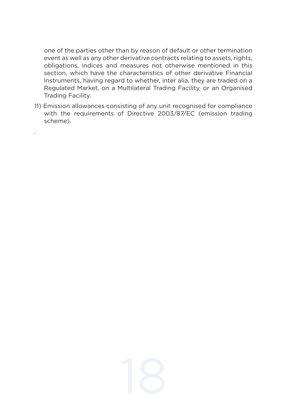one of the parties other than by reason of default or other termination event as well as any other derivative contracts relating to assets, rights, obligations, indices and measures not otherwise mentioned in this section, which have the characteristics of other derivative Financial Instruments, having regard to whether, inter alia, they are traded on a Regulated Market, on a Multilateral Trading Facility, or an Organised Trading Facility.

11) Emission allowances consisting of any unit recognised for compliance with the requirements of Directive 2003/87/EC (emission trading scheme).

.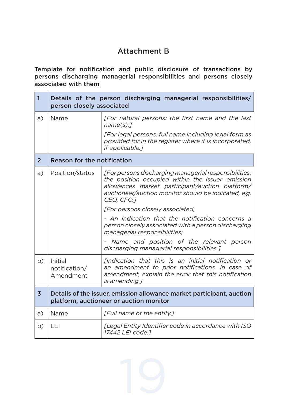## Attachment B

Template for notification and public disclosure of transactions by persons discharging managerial responsibilities and persons closely associated with them

| $\mathbf{1}$   | Details of the person discharging managerial responsibilities/<br>person closely associated                      |                                                                                                                                                                                                                                     |  |
|----------------|------------------------------------------------------------------------------------------------------------------|-------------------------------------------------------------------------------------------------------------------------------------------------------------------------------------------------------------------------------------|--|
| a)             | Name                                                                                                             | [For natural persons: the first name and the last<br>name(s).7<br>[For legal persons: full name including legal form as<br>provided for in the register where it is incorporated,<br>if applicable.1                                |  |
| $\overline{2}$ | Reason for the notification                                                                                      |                                                                                                                                                                                                                                     |  |
| a)             | Position/status                                                                                                  | [For persons discharging managerial responsibilities:<br>the position occupied within the issuer, emission<br>allowances market participant/auction platform/<br>auctioneer/auction monitor should be indicated, e.g.<br>CEO, CFO.1 |  |
|                |                                                                                                                  | [For persons closely associated,                                                                                                                                                                                                    |  |
|                |                                                                                                                  | - An indication that the notification concerns a<br>person closely associated with a person discharging<br>managerial responsibilities;                                                                                             |  |
|                |                                                                                                                  | - Name and position of the relevant person<br>discharging managerial responsibilities.]                                                                                                                                             |  |
| b)             | Initial<br>notification/<br>Amendment                                                                            | <i>Endication that this is an initial notification or</i><br>an amendment to prior notifications. In case of<br>amendment, explain the error that this notification<br>is amending.                                                 |  |
| 3              | Details of the issuer, emission allowance market participant, auction<br>platform, auctioneer or auction monitor |                                                                                                                                                                                                                                     |  |
| a)             | Name                                                                                                             | [Full name of the entity.]                                                                                                                                                                                                          |  |
| b)             | LEI                                                                                                              | [Legal Entity Identifier code in accordance with ISO<br>17442 LEI code.1                                                                                                                                                            |  |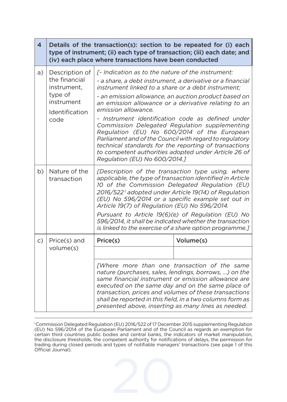| $\overline{4}$ | Details of the transaction(s): section to be repeated for (i) each<br>type of instrument; (ii) each type of transaction; (iii) each date; and<br>(iv) each place where transactions have been conducted |                                                                                                                                                                                                                                                                                                                                                                                                                                                                                                                                                                                                                                                                               |                                                                                                                                                                                                                                                                                                                                         |
|----------------|---------------------------------------------------------------------------------------------------------------------------------------------------------------------------------------------------------|-------------------------------------------------------------------------------------------------------------------------------------------------------------------------------------------------------------------------------------------------------------------------------------------------------------------------------------------------------------------------------------------------------------------------------------------------------------------------------------------------------------------------------------------------------------------------------------------------------------------------------------------------------------------------------|-----------------------------------------------------------------------------------------------------------------------------------------------------------------------------------------------------------------------------------------------------------------------------------------------------------------------------------------|
| a)             | Description of<br>the financial<br>instrument.<br>type of<br>instrument<br>Identification<br>code                                                                                                       | [- Indication as to the nature of the instrument:<br>- a share, a debt instrument, a derivative or a financial<br>instrument linked to a share or a debt instrument:<br>- an emission allowance, an auction product based on<br>an emission allowance or a derivative relating to an<br>emission allowance.<br>- Instrument identification code as defined under<br>Commission Delegated Regulation supplementing<br>Regulation (EU) No 600/2014 of the European<br>Parliament and of the Council with regard to regulatory<br>technical standards for the reporting of transactions<br>to competent authorities adopted under Article 26 of<br>Regulation (EU) No 600/2014.] |                                                                                                                                                                                                                                                                                                                                         |
| b)             | Nature of the<br>transaction                                                                                                                                                                            | [Description of the transaction type using, where<br>applicable, the type of transaction identified in Article<br>10 of the Commission Delegated Regulation (EU)<br>2016/522 <sup>1</sup> adopted under Article 19(14) of Regulation<br>(EU) No 596/2014 or a specific example set out in<br>Article 19(7) of Regulation (EU) No 596/2014.<br>Pursuant to Article 19(6)(e) of Regulation (EU) No<br>596/2014, it shall be indicated whether the transaction<br>is linked to the exercise of a share option programme.]                                                                                                                                                        |                                                                                                                                                                                                                                                                                                                                         |
| $\mathsf{C}$ ) | Price(s) and                                                                                                                                                                                            | Price(s)                                                                                                                                                                                                                                                                                                                                                                                                                                                                                                                                                                                                                                                                      | Volume(s)                                                                                                                                                                                                                                                                                                                               |
|                | volume(s)                                                                                                                                                                                               |                                                                                                                                                                                                                                                                                                                                                                                                                                                                                                                                                                                                                                                                               |                                                                                                                                                                                                                                                                                                                                         |
|                |                                                                                                                                                                                                         | presented above, inserting as many lines as needed.                                                                                                                                                                                                                                                                                                                                                                                                                                                                                                                                                                                                                           | [Where more than one transaction of the same<br>nature (purchases, sales, lendings, borrows, ) on the<br>same financial instrument or emission allowance are<br>executed on the same day and on the same place of<br>transaction, prices and volumes of these transactions<br>shall be reported in this field, in a two columns form as |

1 Commission Delegated Regulation (EU) 2016/522 of 17 December 2015 supplementing Regulation (EU) No 596/2014 of the European Parliament and of the Council as regards an exemption for certain third countries public bodies and central banks, the indicators of market manipulation, the disclosure thresholds, the competent authority for notifications of delays, the permission for trading during closed periods and types of notifiable managers' transactions (see page 1 of this Official Journal).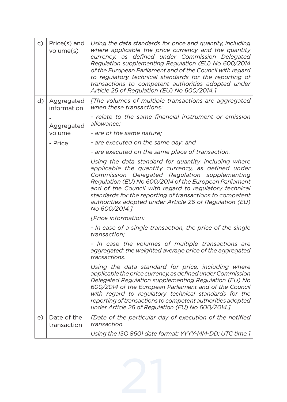| c) | Price(s) and<br>volume(s)  | Using the data standards for price and quantity, including<br>where applicable the price currency and the quantity<br>currency, as defined under Commission Delegated<br>Regulation supplementing Regulation (EU) No 600/2014<br>of the European Parliament and of the Council with regard<br>to regulatory technical standards for the reporting of<br>transactions to competent authorities adopted under<br>Article 26 of Regulation (EU) No 600/2014.] |
|----|----------------------------|------------------------------------------------------------------------------------------------------------------------------------------------------------------------------------------------------------------------------------------------------------------------------------------------------------------------------------------------------------------------------------------------------------------------------------------------------------|
| d) | Aggregated<br>information  | [The volumes of multiple transactions are aggregated<br>when these transactions:                                                                                                                                                                                                                                                                                                                                                                           |
|    | Aggregated                 | - relate to the same financial instrument or emission<br>allowance:                                                                                                                                                                                                                                                                                                                                                                                        |
|    | volume                     | - are of the same nature;                                                                                                                                                                                                                                                                                                                                                                                                                                  |
|    | - Price                    | - are executed on the same day; and                                                                                                                                                                                                                                                                                                                                                                                                                        |
|    |                            | - are executed on the same place of transaction.                                                                                                                                                                                                                                                                                                                                                                                                           |
|    |                            | Using the data standard for quantity, including where<br>applicable the quantity currency, as defined under<br>Commission Delegated Regulation supplementing<br>Regulation (EU) No 600/2014 of the European Parliament<br>and of the Council with regard to regulatory technical<br>standards for the reporting of transactions to competent<br>authorities adopted under Article 26 of Regulation (EU)<br>No 600/2014.]                                   |
|    |                            | <b><i>TPrice information:</i></b>                                                                                                                                                                                                                                                                                                                                                                                                                          |
|    |                            | - In case of a single transaction, the price of the single<br>transaction:                                                                                                                                                                                                                                                                                                                                                                                 |
|    |                            | - In case the volumes of multiple transactions are<br>aggregated: the weighted average price of the aggregated<br>transactions.                                                                                                                                                                                                                                                                                                                            |
|    |                            | Using the data standard for price, including where<br>applicable the price currency, as defined under Commission<br>Delegated Regulation supplementing Regulation (EU) No<br>600/2014 of the European Parliament and of the Council<br>with regard to regulatory technical standards for the<br>reporting of transactions to competent authorities adopted<br>under Article 26 of Regulation (EU) No 600/2014.]                                            |
| e) | Date of the<br>transaction | [Date of the particular day of execution of the notified<br>transaction.                                                                                                                                                                                                                                                                                                                                                                                   |
|    |                            | Using the ISO 8601 date format: YYYY-MM-DD; UTC time.]                                                                                                                                                                                                                                                                                                                                                                                                     |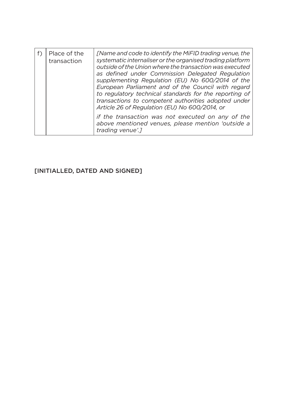| Place of the<br>transaction | <i>[Name and code to identify the MiFID trading venue, the</i><br>systematic internaliser or the organised trading platform<br>outside of the Union where the transaction was executed<br>as defined under Commission Delegated Regulation<br>supplementing Regulation (EU) No 600/2014 of the<br>European Parliament and of the Council with regard<br>to regulatory technical standards for the reporting of<br>transactions to competent authorities adopted under<br>Article 26 of Regulation (EU) No 600/2014, or |
|-----------------------------|------------------------------------------------------------------------------------------------------------------------------------------------------------------------------------------------------------------------------------------------------------------------------------------------------------------------------------------------------------------------------------------------------------------------------------------------------------------------------------------------------------------------|
|                             | if the transaction was not executed on any of the<br>above mentioned venues, please mention 'outside a<br>trading venue'.1                                                                                                                                                                                                                                                                                                                                                                                             |

#### [INITIALLED, DATED AND SIGNED]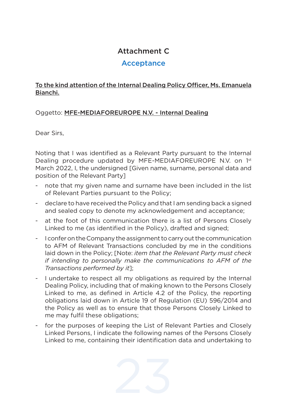### Attachment C

#### Acceptance

#### To the kind attention of the Internal Dealing Policy Officer, Ms. Emanuela Bianchi.

#### Oggetto: MFE-MEDIAFOREUROPE N.V. - Internal Dealing

Dear Sirs,

Noting that I was identified as a Relevant Party pursuant to the Internal Dealing procedure updated by MFE-MEDIAFOREUROPE N.V. on 1st March 2022, I, the undersigned [Given name, surname, personal data and position of the Relevant Party]

- note that my given name and surname have been included in the list of Relevant Parties pursuant to the Policy;
- declare to have received the Policy and that I am sending back a signed and sealed copy to denote my acknowledgement and acceptance;
- at the foot of this communication there is a list of Persons Closely Linked to me (as identified in the Policy), drafted and signed;
- I confer on the Company the assignment to carry out the communication to AFM of Relevant Transactions concluded by me in the conditions laid down in the Policy; [Note: *item that the Relevant Party must check if intending to personally make the communications to AFM of the Transactions performed by it*];
- I undertake to respect all my obligations as required by the Internal Dealing Policy, including that of making known to the Persons Closely Linked to me, as defined in Article 4.2 of the Policy, the reporting obligations laid down in Article 19 of Regulation (EU) 596/2014 and the Policy as well as to ensure that those Persons Closely Linked to me may fulfil these obligations;
- for the purposes of keeping the List of Relevant Parties and Closely Linked Persons, I indicate the following names of the Persons Closely Linked to me, containing their identification data and undertaking to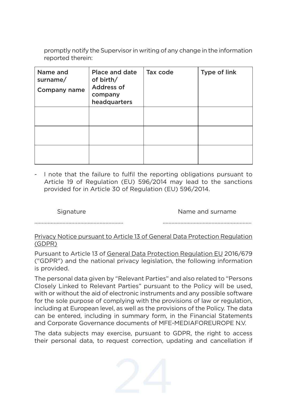promptly notify the Supervisor in writing of any change in the information reported therein:

| Name and<br>surname/<br>Company name | <b>Place and date</b><br>of birth/<br>Address of<br>company<br>headquarters | Tax code | Type of link |
|--------------------------------------|-----------------------------------------------------------------------------|----------|--------------|
|                                      |                                                                             |          |              |
|                                      |                                                                             |          |              |
|                                      |                                                                             |          |              |

- I note that the failure to fulfil the reporting obligations pursuant to Article 19 of Regulation (EU) 596/2014 may lead to the sanctions provided for in Article 30 of Regulation (EU) 596/2014.

Signature **Name and surname** 

#### Privacy Notice pursuant to Article 13 of General Data Protection Regulation (GDPR)

Pursuant to Article 13 of General Data Protection Regulation EU 2016/679 ("GDPR") and the national privacy legislation, the following information is provided.

The personal data given by "Relevant Parties" and also related to "Persons Closely Linked to Relevant Parties" pursuant to the Policy will be used, with or without the aid of electronic instruments and any possible software for the sole purpose of complying with the provisions of law or regulation, including at European level, as well as the provisions of the Policy. The data can be entered, including in summary form, in the Financial Statements and Corporate Governance documents of MFE-MEDIAFOREUROPE N.V.

The data subjects may exercise, pursuant to GDPR, the right to access their personal data, to request correction, updating and cancellation if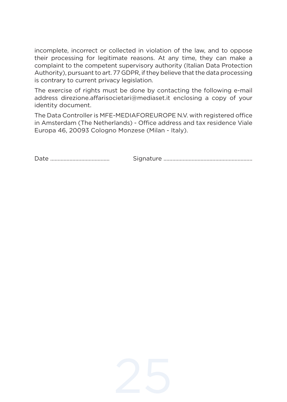incomplete, incorrect or collected in violation of the law, and to oppose their processing for legitimate reasons. At any time, they can make a complaint to the competent supervisory authority (Italian Data Protection Authority), pursuant to art. 77 GDPR, if they believe that the data processing is contrary to current privacy legislation.

The exercise of rights must be done by contacting the following e-mail address direzione.affarisocietari@mediaset.it enclosing a copy of your identity document.

The Data Controller is MFE-MEDIAFOREUROPE N.V. with registered office in Amsterdam (The Netherlands) - Office address and tax residence Viale Europa 46, 20093 Cologno Monzese (Milan - Italy).

Date ........................................ Signature ............................................................